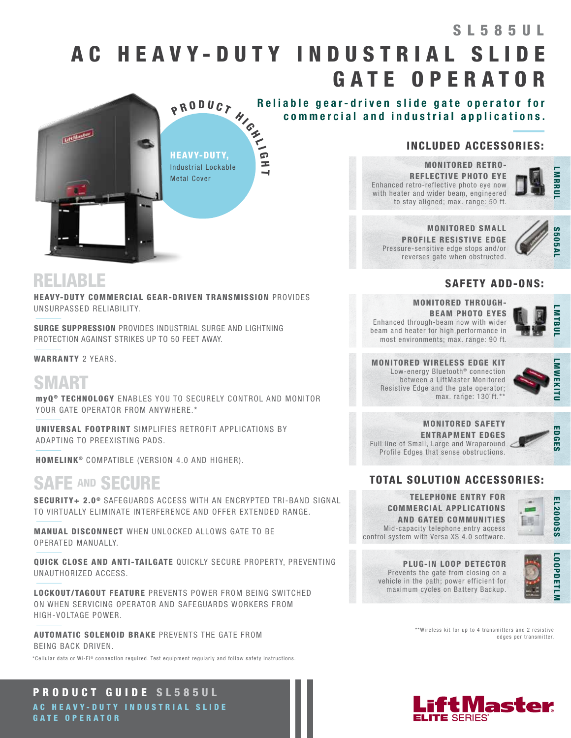# AC HEAVY-DUTY INDUSTRIAL SLID GATE OPERATOR SL585UL





HEAVY-DUTY COMMERCIAL GEAR-DRIVEN TRANSMISSION PROVIDES UNSURPASSED RELIABILITY.

SURGE SUPPRESSION PROVIDES INDUSTRIAL SURGE AND LIGHTNING PROTECTION AGAINST STRIKES UP TO 50 FEET AWAY.

WARRANTY 2 YEARS.

# SMART

myQ ® TECHNOLOGY ENABLES YOU TO SECURELY CONTROL AND MONITOR YOUR GATE OPERATOR FROM ANYWHERE.\*

UNIVERSAL FOOTPRINT SIMPLIFIES RETROFIT APPLICATIONS BY ADAPTING TO PREEXISTING PADS.

HOMELINK<sup>®</sup> COMPATIBLE (VERSION 4.0 AND HIGHER).

# SAFE AND SECURE

SECURITY+ 2.0<sup>®</sup> SAFEGUARDS ACCESS WITH AN ENCRYPTED TRI-BAND SIGNAL TO VIRTUALLY ELIMINATE INTERFERENCE AND OFFER EXTENDED RANGE.

MANUAL DISCONNECT WHEN UNLOCKED ALLOWS GATE TO BE OPERATED MANUALLY.

QUICK CLOSE AND ANTI-TAILGATE QUICKLY SECURE PROPERTY, PREVENTING UNAUTHORIZED ACCESS.

LOCKOUT/TAGOUT FEATURE PREVENTS POWER FROM BEING SWITCHED ON WHEN SERVICING OPERATOR AND SAFEGUARDS WORKERS FROM HIGH-VOLTAGE POWER.

AUTOMATIC SOLENOID BRAKE PREVENTS THE GATE FROM BEING BACK DRIVEN.

\*Cellular data or Wi-Fi® connection required. Test equipment regularly and follow safety instructions.

### PRODUCT GUIDE SL585UL AC HEAVY-DUTY INDUSTRIAL SLIDE GATE OPERATOR

### INCLUDED ACCESSORIES:

LMARRUL

Pressure-sensitive edge stops and/or reverses gate when obstructed.



### SAFETY ADD-ONS:

MONITORED THROUGH-BEAM PHOTO EYES Enhanced through-beam now with wider beam and heater for high performance in most environments; max. range: 90 ft.



MONITORED WIRELESS EDGE KIT Low-energy Bluetooth<sup>®</sup> connection between a LiftMaster Monitored Resistive Edge and the gate operator; max. range: 130 ft.\*\*



MONITORED SAFETY ENTRAPMENT EDGES Full line of Small, Large and Wraparound Profile Edges that sense obstructions.



### TOTAL SOLUTION ACCESSORIES:

TELEPHONE ENTRY FOR COMMERCIAL APPLICATIONS AND GATED COMMUNITIES Mid-capacity telephone entry access control system with Versa XS 4.0 software.



PLUG-IN LOOP DETECTOR Prevents the gate from closing on a vehicle in the path; power efficient for maximum cycles on Battery Backup.



\*\*Wireless kit for up to 4 transmitters and 2 resistive edges per transmitter.